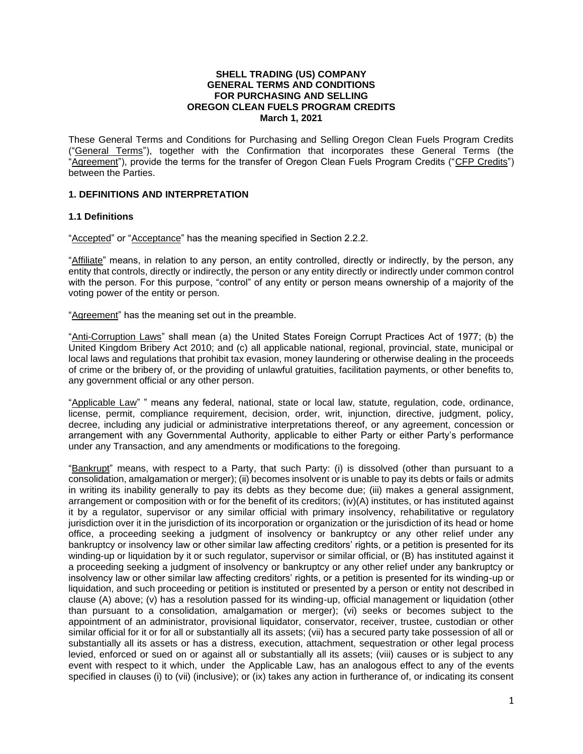#### **SHELL TRADING (US) COMPANY GENERAL TERMS AND CONDITIONS FOR PURCHASING AND SELLING OREGON CLEAN FUELS PROGRAM CREDITS March 1, 2021**

These General Terms and Conditions for Purchasing and Selling Oregon Clean Fuels Program Credits ("General Terms"), together with the Confirmation that incorporates these General Terms (the "Agreement"), provide the terms for the transfer of Oregon Clean Fuels Program Credits ("CFP Credits") between the Parties.

#### **1. DEFINITIONS AND INTERPRETATION**

#### **1.1 Definitions**

"Accepted" or "Acceptance" has the meaning specified in Section 2.2.2.

"Affiliate" means, in relation to any person, an entity controlled, directly or indirectly, by the person, any entity that controls, directly or indirectly, the person or any entity directly or indirectly under common control with the person. For this purpose, "control" of any entity or person means ownership of a majority of the voting power of the entity or person.

"Agreement" has the meaning set out in the preamble.

"Anti-Corruption Laws" shall mean (a) the United States Foreign Corrupt Practices Act of 1977; (b) the United Kingdom Bribery Act 2010; and (c) all applicable national, regional, provincial, state, municipal or local laws and regulations that prohibit tax evasion, money laundering or otherwise dealing in the proceeds of crime or the bribery of, or the providing of unlawful gratuities, facilitation payments, or other benefits to, any government official or any other person.

"Applicable Law" " means any federal, national, state or local law, statute, regulation, code, ordinance, license, permit, compliance requirement, decision, order, writ, injunction, directive, judgment, policy, decree, including any judicial or administrative interpretations thereof, or any agreement, concession or arrangement with any Governmental Authority, applicable to either Party or either Party's performance under any Transaction, and any amendments or modifications to the foregoing.

"Bankrupt" means, with respect to a Party, that such Party: (i) is dissolved (other than pursuant to a consolidation, amalgamation or merger); (ii) becomes insolvent or is unable to pay its debts or fails or admits in writing its inability generally to pay its debts as they become due; (iii) makes a general assignment, arrangement or composition with or for the benefit of its creditors; (iv)(A) institutes, or has instituted against it by a regulator, supervisor or any similar official with primary insolvency, rehabilitative or regulatory jurisdiction over it in the jurisdiction of its incorporation or organization or the jurisdiction of its head or home office, a proceeding seeking a judgment of insolvency or bankruptcy or any other relief under any bankruptcy or insolvency law or other similar law affecting creditors' rights, or a petition is presented for its winding-up or liquidation by it or such regulator, supervisor or similar official, or (B) has instituted against it a proceeding seeking a judgment of insolvency or bankruptcy or any other relief under any bankruptcy or insolvency law or other similar law affecting creditors' rights, or a petition is presented for its winding-up or liquidation, and such proceeding or petition is instituted or presented by a person or entity not described in clause (A) above; (v) has a resolution passed for its winding-up, official management or liquidation (other than pursuant to a consolidation, amalgamation or merger); (vi) seeks or becomes subject to the appointment of an administrator, provisional liquidator, conservator, receiver, trustee, custodian or other similar official for it or for all or substantially all its assets; (vii) has a secured party take possession of all or substantially all its assets or has a distress, execution, attachment, sequestration or other legal process levied, enforced or sued on or against all or substantially all its assets; (viii) causes or is subject to any event with respect to it which, under the Applicable Law, has an analogous effect to any of the events specified in clauses (i) to (vii) (inclusive); or (ix) takes any action in furtherance of, or indicating its consent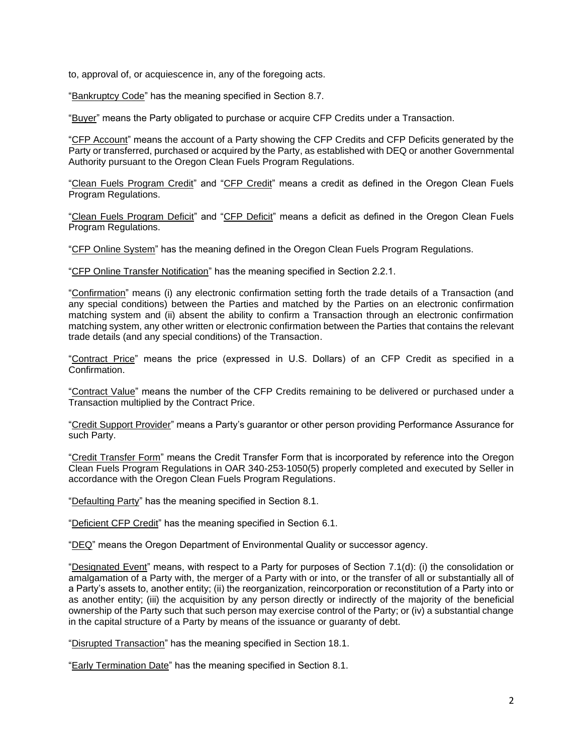to, approval of, or acquiescence in, any of the foregoing acts.

"Bankruptcy Code" has the meaning specified in Section 8.7.

"Buyer" means the Party obligated to purchase or acquire CFP Credits under a Transaction.

"CFP Account" means the account of a Party showing the CFP Credits and CFP Deficits generated by the Party or transferred, purchased or acquired by the Party, as established with DEQ or another Governmental Authority pursuant to the Oregon Clean Fuels Program Regulations.

"Clean Fuels Program Credit" and "CFP Credit" means a credit as defined in the Oregon Clean Fuels Program Regulations.

"Clean Fuels Program Deficit" and "CFP Deficit" means a deficit as defined in the Oregon Clean Fuels Program Regulations.

"CFP Online System" has the meaning defined in the Oregon Clean Fuels Program Regulations.

"CFP Online Transfer Notification" has the meaning specified in Section 2.2.1.

"Confirmation" means (i) any electronic confirmation setting forth the trade details of a Transaction (and any special conditions) between the Parties and matched by the Parties on an electronic confirmation matching system and (ii) absent the ability to confirm a Transaction through an electronic confirmation matching system, any other written or electronic confirmation between the Parties that contains the relevant trade details (and any special conditions) of the Transaction.

"Contract Price" means the price (expressed in U.S. Dollars) of an CFP Credit as specified in a Confirmation.

"Contract Value" means the number of the CFP Credits remaining to be delivered or purchased under a Transaction multiplied by the Contract Price.

"Credit Support Provider" means a Party's guarantor or other person providing Performance Assurance for such Party.

"Credit Transfer Form" means the Credit Transfer Form that is incorporated by reference into the Oregon Clean Fuels Program Regulations in OAR 340-253-1050(5) properly completed and executed by Seller in accordance with the Oregon Clean Fuels Program Regulations.

"Defaulting Party" has the meaning specified in Section 8.1.

"Deficient CFP Credit" has the meaning specified in Section 6.1.

"DEQ" means the Oregon Department of Environmental Quality or successor agency.

"Designated Event" means, with respect to a Party for purposes of Section 7.1(d): (i) the consolidation or amalgamation of a Party with, the merger of a Party with or into, or the transfer of all or substantially all of a Party's assets to, another entity; (ii) the reorganization, reincorporation or reconstitution of a Party into or as another entity; (iii) the acquisition by any person directly or indirectly of the majority of the beneficial ownership of the Party such that such person may exercise control of the Party; or (iv) a substantial change in the capital structure of a Party by means of the issuance or guaranty of debt.

"Disrupted Transaction" has the meaning specified in Section 18.1.

"Early Termination Date" has the meaning specified in Section 8.1.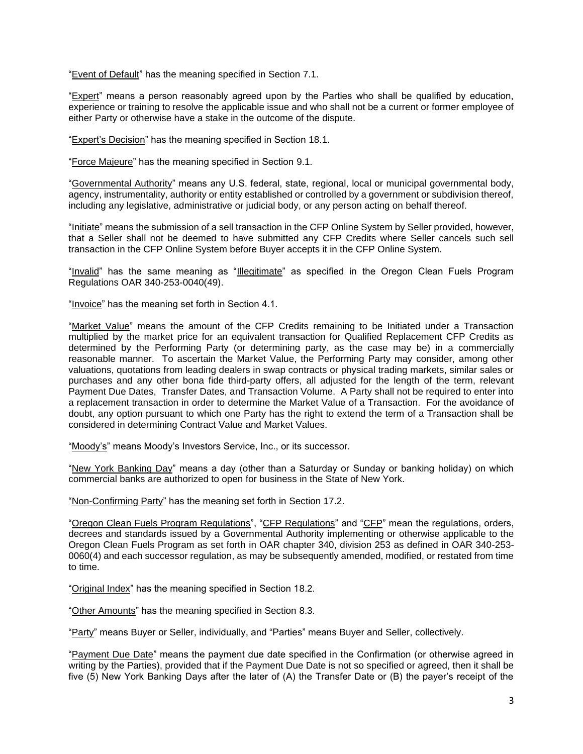"Event of Default" has the meaning specified in Section 7.1.

"Expert" means a person reasonably agreed upon by the Parties who shall be qualified by education, experience or training to resolve the applicable issue and who shall not be a current or former employee of either Party or otherwise have a stake in the outcome of the dispute.

"Expert's Decision" has the meaning specified in Section 18.1.

"Force Majeure" has the meaning specified in Section 9.1.

"Governmental Authority" means any U.S. federal, state, regional, local or municipal governmental body, agency, instrumentality, authority or entity established or controlled by a government or subdivision thereof, including any legislative, administrative or judicial body, or any person acting on behalf thereof.

"Initiate" means the submission of a sell transaction in the CFP Online System by Seller provided, however, that a Seller shall not be deemed to have submitted any CFP Credits where Seller cancels such sell transaction in the CFP Online System before Buyer accepts it in the CFP Online System.

"Invalid" has the same meaning as "Illegitimate" as specified in the Oregon Clean Fuels Program Regulations OAR 340-253-0040(49).

"Invoice" has the meaning set forth in Section 4.1.

"Market Value" means the amount of the CFP Credits remaining to be Initiated under a Transaction multiplied by the market price for an equivalent transaction for Qualified Replacement CFP Credits as determined by the Performing Party (or determining party, as the case may be) in a commercially reasonable manner. To ascertain the Market Value, the Performing Party may consider, among other valuations, quotations from leading dealers in swap contracts or physical trading markets, similar sales or purchases and any other bona fide third-party offers, all adjusted for the length of the term, relevant Payment Due Dates, Transfer Dates, and Transaction Volume. A Party shall not be required to enter into a replacement transaction in order to determine the Market Value of a Transaction. For the avoidance of doubt, any option pursuant to which one Party has the right to extend the term of a Transaction shall be considered in determining Contract Value and Market Values.

"Moody's" means Moody's Investors Service, Inc., or its successor.

"New York Banking Day" means a day (other than a Saturday or Sunday or banking holiday) on which commercial banks are authorized to open for business in the State of New York.

"Non-Confirming Party" has the meaning set forth in Section 17.2.

"Oregon Clean Fuels Program Regulations", "CFP Regulations" and "CFP" mean the regulations, orders, decrees and standards issued by a Governmental Authority implementing or otherwise applicable to the Oregon Clean Fuels Program as set forth in OAR chapter 340, division 253 as defined in OAR 340-253- 0060(4) and each successor regulation, as may be subsequently amended, modified, or restated from time to time.

"Original Index" has the meaning specified in Section 18.2.

"Other Amounts" has the meaning specified in Section 8.3.

"Party" means Buyer or Seller, individually, and "Parties" means Buyer and Seller, collectively.

"Payment Due Date" means the payment due date specified in the Confirmation (or otherwise agreed in writing by the Parties), provided that if the Payment Due Date is not so specified or agreed, then it shall be five (5) New York Banking Days after the later of (A) the Transfer Date or (B) the payer's receipt of the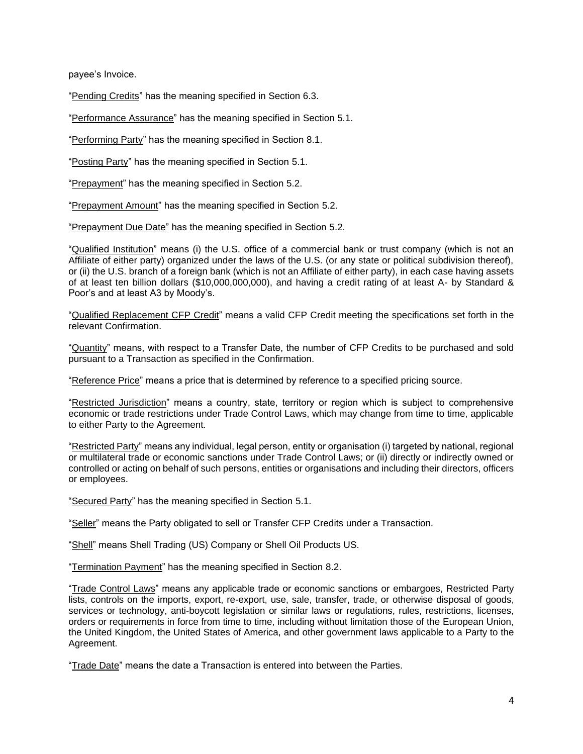payee's Invoice.

"Pending Credits" has the meaning specified in Section 6.3.

"Performance Assurance" has the meaning specified in Section 5.1.

"Performing Party" has the meaning specified in Section 8.1.

"Posting Party" has the meaning specified in Section 5.1.

"Prepayment" has the meaning specified in Section 5.2.

"Prepayment Amount" has the meaning specified in Section 5.2.

"Prepayment Due Date" has the meaning specified in Section 5.2.

"Qualified Institution" means (i) the U.S. office of a commercial bank or trust company (which is not an Affiliate of either party) organized under the laws of the U.S. (or any state or political subdivision thereof), or (ii) the U.S. branch of a foreign bank (which is not an Affiliate of either party), in each case having assets of at least ten billion dollars (\$10,000,000,000), and having a credit rating of at least A- by Standard & Poor's and at least A3 by Moody's.

"Qualified Replacement CFP Credit" means a valid CFP Credit meeting the specifications set forth in the relevant Confirmation.

"Quantity" means, with respect to a Transfer Date, the number of CFP Credits to be purchased and sold pursuant to a Transaction as specified in the Confirmation.

"Reference Price" means a price that is determined by reference to a specified pricing source.

"Restricted Jurisdiction" means a country, state, territory or region which is subject to comprehensive economic or trade restrictions under Trade Control Laws, which may change from time to time, applicable to either Party to the Agreement.

"Restricted Party" means any individual, legal person, entity or organisation (i) targeted by national, regional or multilateral trade or economic sanctions under Trade Control Laws; or (ii) directly or indirectly owned or controlled or acting on behalf of such persons, entities or organisations and including their directors, officers or employees.

"Secured Party" has the meaning specified in Section 5.1.

"Seller" means the Party obligated to sell or Transfer CFP Credits under a Transaction.

"Shell" means Shell Trading (US) Company or Shell Oil Products US.

"Termination Payment" has the meaning specified in Section 8.2.

"Trade Control Laws" means any applicable trade or economic sanctions or embargoes, Restricted Party lists, controls on the imports, export, re-export, use, sale, transfer, trade, or otherwise disposal of goods, services or technology, anti-boycott legislation or similar laws or regulations, rules, restrictions, licenses, orders or requirements in force from time to time, including without limitation those of the European Union, the United Kingdom, the United States of America, and other government laws applicable to a Party to the Agreement.

"Trade Date" means the date a Transaction is entered into between the Parties.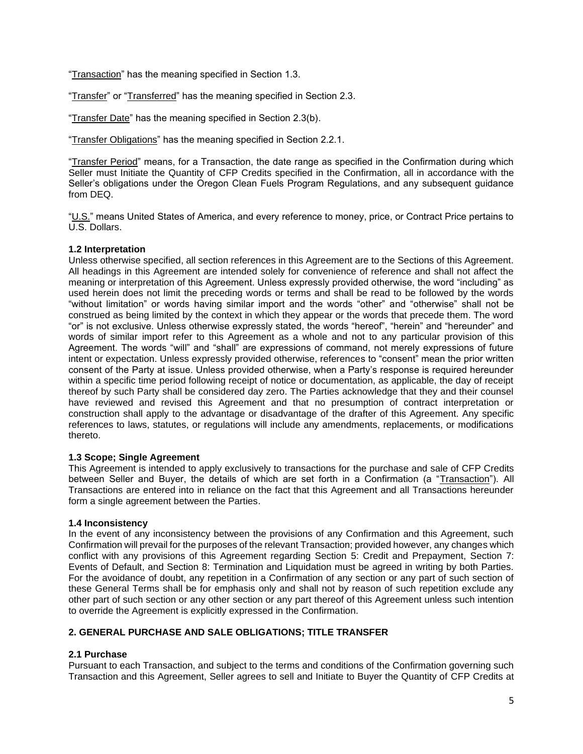"Transaction" has the meaning specified in Section 1.3.

"Transfer" or "Transferred" has the meaning specified in Section 2.3.

"Transfer Date" has the meaning specified in Section 2.3(b).

"Transfer Obligations" has the meaning specified in Section 2.2.1.

"Transfer Period" means, for a Transaction, the date range as specified in the Confirmation during which Seller must Initiate the Quantity of CFP Credits specified in the Confirmation, all in accordance with the Seller's obligations under the Oregon Clean Fuels Program Regulations, and any subsequent guidance from DEQ.

"U.S." means United States of America, and every reference to money, price, or Contract Price pertains to U.S. Dollars.

#### **1.2 Interpretation**

Unless otherwise specified, all section references in this Agreement are to the Sections of this Agreement. All headings in this Agreement are intended solely for convenience of reference and shall not affect the meaning or interpretation of this Agreement. Unless expressly provided otherwise, the word "including" as used herein does not limit the preceding words or terms and shall be read to be followed by the words "without limitation" or words having similar import and the words "other" and "otherwise" shall not be construed as being limited by the context in which they appear or the words that precede them. The word "or" is not exclusive. Unless otherwise expressly stated, the words "hereof", "herein" and "hereunder" and words of similar import refer to this Agreement as a whole and not to any particular provision of this Agreement. The words "will" and "shall" are expressions of command, not merely expressions of future intent or expectation. Unless expressly provided otherwise, references to "consent" mean the prior written consent of the Party at issue. Unless provided otherwise, when a Party's response is required hereunder within a specific time period following receipt of notice or documentation, as applicable, the day of receipt thereof by such Party shall be considered day zero. The Parties acknowledge that they and their counsel have reviewed and revised this Agreement and that no presumption of contract interpretation or construction shall apply to the advantage or disadvantage of the drafter of this Agreement. Any specific references to laws, statutes, or regulations will include any amendments, replacements, or modifications thereto.

#### **1.3 Scope; Single Agreement**

This Agreement is intended to apply exclusively to transactions for the purchase and sale of CFP Credits between Seller and Buyer, the details of which are set forth in a Confirmation (a "Transaction"). All Transactions are entered into in reliance on the fact that this Agreement and all Transactions hereunder form a single agreement between the Parties.

#### **1.4 Inconsistency**

In the event of any inconsistency between the provisions of any Confirmation and this Agreement, such Confirmation will prevail for the purposes of the relevant Transaction; provided however, any changes which conflict with any provisions of this Agreement regarding Section 5: Credit and Prepayment, Section 7: Events of Default, and Section 8: Termination and Liquidation must be agreed in writing by both Parties. For the avoidance of doubt, any repetition in a Confirmation of any section or any part of such section of these General Terms shall be for emphasis only and shall not by reason of such repetition exclude any other part of such section or any other section or any part thereof of this Agreement unless such intention to override the Agreement is explicitly expressed in the Confirmation.

### **2. GENERAL PURCHASE AND SALE OBLIGATIONS; TITLE TRANSFER**

### **2.1 Purchase**

Pursuant to each Transaction, and subject to the terms and conditions of the Confirmation governing such Transaction and this Agreement, Seller agrees to sell and Initiate to Buyer the Quantity of CFP Credits at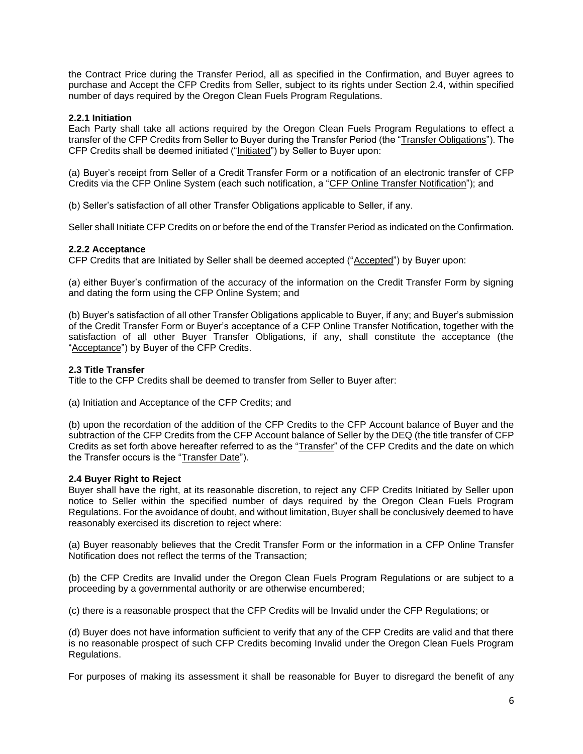the Contract Price during the Transfer Period, all as specified in the Confirmation, and Buyer agrees to purchase and Accept the CFP Credits from Seller, subject to its rights under Section 2.4, within specified number of days required by the Oregon Clean Fuels Program Regulations.

#### **2.2.1 Initiation**

Each Party shall take all actions required by the Oregon Clean Fuels Program Regulations to effect a transfer of the CFP Credits from Seller to Buyer during the Transfer Period (the "Transfer Obligations"). The CFP Credits shall be deemed initiated ("Initiated") by Seller to Buyer upon:

(a) Buyer's receipt from Seller of a Credit Transfer Form or a notification of an electronic transfer of CFP Credits via the CFP Online System (each such notification, a "CFP Online Transfer Notification"); and

(b) Seller's satisfaction of all other Transfer Obligations applicable to Seller, if any.

Seller shall Initiate CFP Credits on or before the end of the Transfer Period as indicated on the Confirmation.

#### **2.2.2 Acceptance**

CFP Credits that are Initiated by Seller shall be deemed accepted ("Accepted") by Buyer upon:

(a) either Buyer's confirmation of the accuracy of the information on the Credit Transfer Form by signing and dating the form using the CFP Online System; and

(b) Buyer's satisfaction of all other Transfer Obligations applicable to Buyer, if any; and Buyer's submission of the Credit Transfer Form or Buyer's acceptance of a CFP Online Transfer Notification, together with the satisfaction of all other Buyer Transfer Obligations, if any, shall constitute the acceptance (the "Acceptance") by Buyer of the CFP Credits.

#### **2.3 Title Transfer**

Title to the CFP Credits shall be deemed to transfer from Seller to Buyer after:

(a) Initiation and Acceptance of the CFP Credits; and

(b) upon the recordation of the addition of the CFP Credits to the CFP Account balance of Buyer and the subtraction of the CFP Credits from the CFP Account balance of Seller by the DEQ (the title transfer of CFP Credits as set forth above hereafter referred to as the "Transfer" of the CFP Credits and the date on which the Transfer occurs is the "Transfer Date").

#### **2.4 Buyer Right to Reject**

Buyer shall have the right, at its reasonable discretion, to reject any CFP Credits Initiated by Seller upon notice to Seller within the specified number of days required by the Oregon Clean Fuels Program Regulations. For the avoidance of doubt, and without limitation, Buyer shall be conclusively deemed to have reasonably exercised its discretion to reject where:

(a) Buyer reasonably believes that the Credit Transfer Form or the information in a CFP Online Transfer Notification does not reflect the terms of the Transaction;

(b) the CFP Credits are Invalid under the Oregon Clean Fuels Program Regulations or are subject to a proceeding by a governmental authority or are otherwise encumbered;

(c) there is a reasonable prospect that the CFP Credits will be Invalid under the CFP Regulations; or

(d) Buyer does not have information sufficient to verify that any of the CFP Credits are valid and that there is no reasonable prospect of such CFP Credits becoming Invalid under the Oregon Clean Fuels Program Regulations.

For purposes of making its assessment it shall be reasonable for Buyer to disregard the benefit of any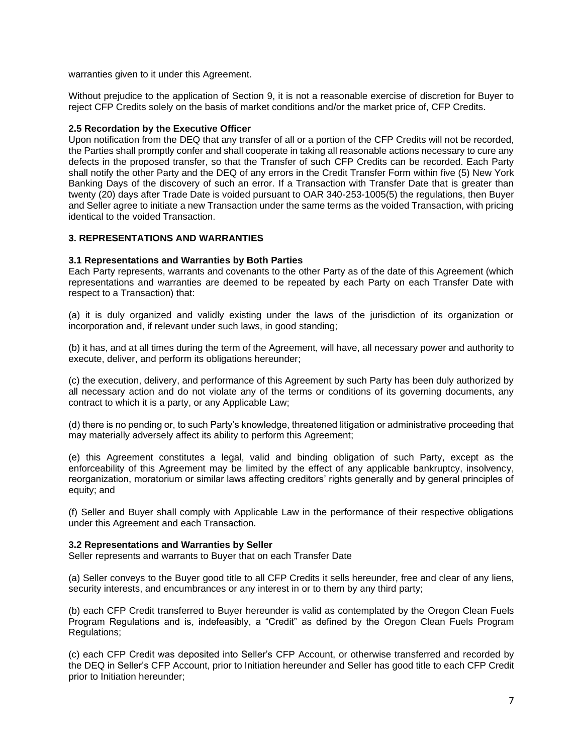warranties given to it under this Agreement.

Without prejudice to the application of Section 9, it is not a reasonable exercise of discretion for Buyer to reject CFP Credits solely on the basis of market conditions and/or the market price of, CFP Credits.

#### **2.5 Recordation by the Executive Officer**

Upon notification from the DEQ that any transfer of all or a portion of the CFP Credits will not be recorded, the Parties shall promptly confer and shall cooperate in taking all reasonable actions necessary to cure any defects in the proposed transfer, so that the Transfer of such CFP Credits can be recorded. Each Party shall notify the other Party and the DEQ of any errors in the Credit Transfer Form within five (5) New York Banking Days of the discovery of such an error. If a Transaction with Transfer Date that is greater than twenty (20) days after Trade Date is voided pursuant to OAR 340-253-1005(5) the regulations, then Buyer and Seller agree to initiate a new Transaction under the same terms as the voided Transaction, with pricing identical to the voided Transaction.

#### **3. REPRESENTATIONS AND WARRANTIES**

#### **3.1 Representations and Warranties by Both Parties**

Each Party represents, warrants and covenants to the other Party as of the date of this Agreement (which representations and warranties are deemed to be repeated by each Party on each Transfer Date with respect to a Transaction) that:

(a) it is duly organized and validly existing under the laws of the jurisdiction of its organization or incorporation and, if relevant under such laws, in good standing;

(b) it has, and at all times during the term of the Agreement, will have, all necessary power and authority to execute, deliver, and perform its obligations hereunder;

(c) the execution, delivery, and performance of this Agreement by such Party has been duly authorized by all necessary action and do not violate any of the terms or conditions of its governing documents, any contract to which it is a party, or any Applicable Law;

(d) there is no pending or, to such Party's knowledge, threatened litigation or administrative proceeding that may materially adversely affect its ability to perform this Agreement;

(e) this Agreement constitutes a legal, valid and binding obligation of such Party, except as the enforceability of this Agreement may be limited by the effect of any applicable bankruptcy, insolvency, reorganization, moratorium or similar laws affecting creditors' rights generally and by general principles of equity; and

(f) Seller and Buyer shall comply with Applicable Law in the performance of their respective obligations under this Agreement and each Transaction.

#### **3.2 Representations and Warranties by Seller**

Seller represents and warrants to Buyer that on each Transfer Date

(a) Seller conveys to the Buyer good title to all CFP Credits it sells hereunder, free and clear of any liens, security interests, and encumbrances or any interest in or to them by any third party;

(b) each CFP Credit transferred to Buyer hereunder is valid as contemplated by the Oregon Clean Fuels Program Regulations and is, indefeasibly, a "Credit" as defined by the Oregon Clean Fuels Program Regulations;

(c) each CFP Credit was deposited into Seller's CFP Account, or otherwise transferred and recorded by the DEQ in Seller's CFP Account, prior to Initiation hereunder and Seller has good title to each CFP Credit prior to Initiation hereunder;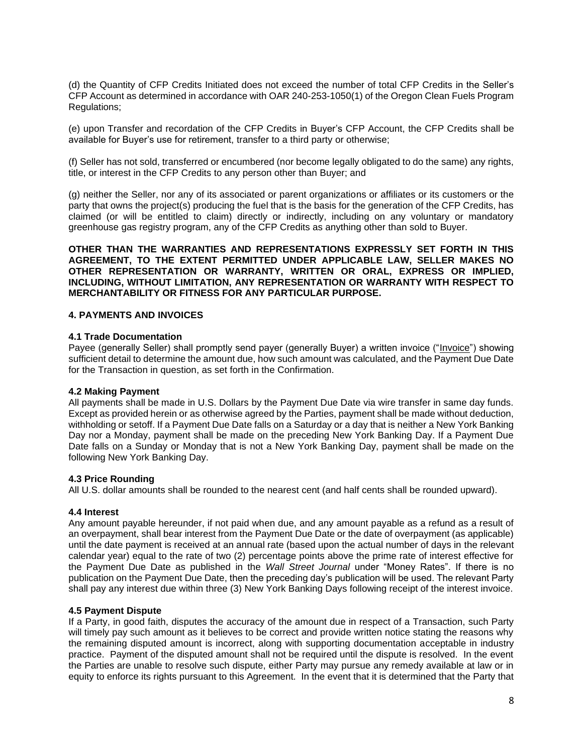(d) the Quantity of CFP Credits Initiated does not exceed the number of total CFP Credits in the Seller's CFP Account as determined in accordance with OAR 240-253-1050(1) of the Oregon Clean Fuels Program Regulations;

(e) upon Transfer and recordation of the CFP Credits in Buyer's CFP Account, the CFP Credits shall be available for Buyer's use for retirement, transfer to a third party or otherwise;

(f) Seller has not sold, transferred or encumbered (nor become legally obligated to do the same) any rights, title, or interest in the CFP Credits to any person other than Buyer; and

(g) neither the Seller, nor any of its associated or parent organizations or affiliates or its customers or the party that owns the project(s) producing the fuel that is the basis for the generation of the CFP Credits, has claimed (or will be entitled to claim) directly or indirectly, including on any voluntary or mandatory greenhouse gas registry program, any of the CFP Credits as anything other than sold to Buyer.

**OTHER THAN THE WARRANTIES AND REPRESENTATIONS EXPRESSLY SET FORTH IN THIS AGREEMENT, TO THE EXTENT PERMITTED UNDER APPLICABLE LAW, SELLER MAKES NO OTHER REPRESENTATION OR WARRANTY, WRITTEN OR ORAL, EXPRESS OR IMPLIED, INCLUDING, WITHOUT LIMITATION, ANY REPRESENTATION OR WARRANTY WITH RESPECT TO MERCHANTABILITY OR FITNESS FOR ANY PARTICULAR PURPOSE.**

#### **4. PAYMENTS AND INVOICES**

#### **4.1 Trade Documentation**

Payee (generally Seller) shall promptly send payer (generally Buyer) a written invoice ("Invoice") showing sufficient detail to determine the amount due, how such amount was calculated, and the Payment Due Date for the Transaction in question, as set forth in the Confirmation.

#### **4.2 Making Payment**

All payments shall be made in U.S. Dollars by the Payment Due Date via wire transfer in same day funds. Except as provided herein or as otherwise agreed by the Parties, payment shall be made without deduction, withholding or setoff. If a Payment Due Date falls on a Saturday or a day that is neither a New York Banking Day nor a Monday, payment shall be made on the preceding New York Banking Day. If a Payment Due Date falls on a Sunday or Monday that is not a New York Banking Day, payment shall be made on the following New York Banking Day.

#### **4.3 Price Rounding**

All U.S. dollar amounts shall be rounded to the nearest cent (and half cents shall be rounded upward).

#### **4.4 Interest**

Any amount payable hereunder, if not paid when due, and any amount payable as a refund as a result of an overpayment, shall bear interest from the Payment Due Date or the date of overpayment (as applicable) until the date payment is received at an annual rate (based upon the actual number of days in the relevant calendar year) equal to the rate of two (2) percentage points above the prime rate of interest effective for the Payment Due Date as published in the *Wall Street Journal* under "Money Rates". If there is no publication on the Payment Due Date, then the preceding day's publication will be used. The relevant Party shall pay any interest due within three (3) New York Banking Days following receipt of the interest invoice.

#### **4.5 Payment Dispute**

If a Party, in good faith, disputes the accuracy of the amount due in respect of a Transaction, such Party will timely pay such amount as it believes to be correct and provide written notice stating the reasons why the remaining disputed amount is incorrect, along with supporting documentation acceptable in industry practice. Payment of the disputed amount shall not be required until the dispute is resolved. In the event the Parties are unable to resolve such dispute, either Party may pursue any remedy available at law or in equity to enforce its rights pursuant to this Agreement. In the event that it is determined that the Party that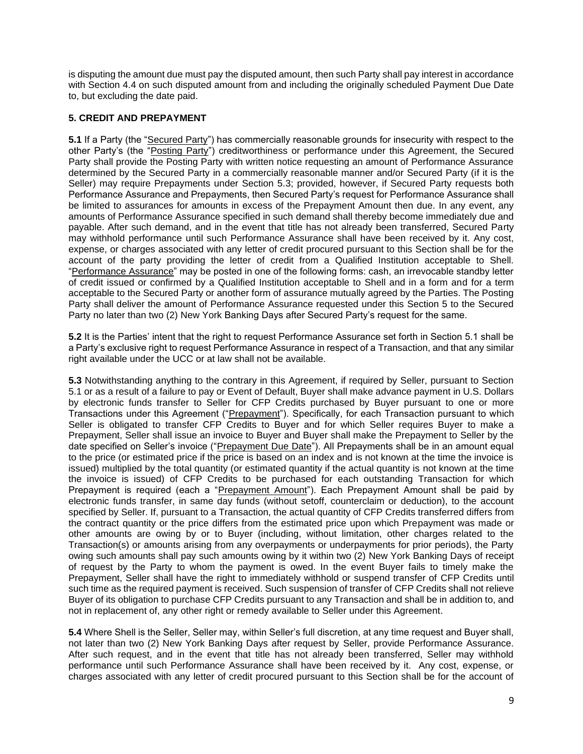is disputing the amount due must pay the disputed amount, then such Party shall pay interest in accordance with Section 4.4 on such disputed amount from and including the originally scheduled Payment Due Date to, but excluding the date paid.

## **5. CREDIT AND PREPAYMENT**

**5.1** If a Party (the "Secured Party") has commercially reasonable grounds for insecurity with respect to the other Party's (the "Posting Party") creditworthiness or performance under this Agreement, the Secured Party shall provide the Posting Party with written notice requesting an amount of Performance Assurance determined by the Secured Party in a commercially reasonable manner and/or Secured Party (if it is the Seller) may require Prepayments under Section 5.3; provided, however, if Secured Party requests both Performance Assurance and Prepayments, then Secured Party's request for Performance Assurance shall be limited to assurances for amounts in excess of the Prepayment Amount then due. In any event, any amounts of Performance Assurance specified in such demand shall thereby become immediately due and payable. After such demand, and in the event that title has not already been transferred, Secured Party may withhold performance until such Performance Assurance shall have been received by it. Any cost, expense, or charges associated with any letter of credit procured pursuant to this Section shall be for the account of the party providing the letter of credit from a Qualified Institution acceptable to Shell. "Performance Assurance" may be posted in one of the following forms: cash, an irrevocable standby letter of credit issued or confirmed by a Qualified Institution acceptable to Shell and in a form and for a term acceptable to the Secured Party or another form of assurance mutually agreed by the Parties. The Posting Party shall deliver the amount of Performance Assurance requested under this Section 5 to the Secured Party no later than two (2) New York Banking Days after Secured Party's request for the same.

**5.2** It is the Parties' intent that the right to request Performance Assurance set forth in Section 5.1 shall be a Party's exclusive right to request Performance Assurance in respect of a Transaction, and that any similar right available under the UCC or at law shall not be available.

**5.3** Notwithstanding anything to the contrary in this Agreement, if required by Seller, pursuant to Section 5.1 or as a result of a failure to pay or Event of Default, Buyer shall make advance payment in U.S. Dollars by electronic funds transfer to Seller for CFP Credits purchased by Buyer pursuant to one or more Transactions under this Agreement ("Prepayment"). Specifically, for each Transaction pursuant to which Seller is obligated to transfer CFP Credits to Buyer and for which Seller requires Buyer to make a Prepayment, Seller shall issue an invoice to Buyer and Buyer shall make the Prepayment to Seller by the date specified on Seller's invoice ("Prepayment Due Date"). All Prepayments shall be in an amount equal to the price (or estimated price if the price is based on an index and is not known at the time the invoice is issued) multiplied by the total quantity (or estimated quantity if the actual quantity is not known at the time the invoice is issued) of CFP Credits to be purchased for each outstanding Transaction for which Prepayment is required (each a "Prepayment Amount"). Each Prepayment Amount shall be paid by electronic funds transfer, in same day funds (without setoff, counterclaim or deduction), to the account specified by Seller. If, pursuant to a Transaction, the actual quantity of CFP Credits transferred differs from the contract quantity or the price differs from the estimated price upon which Prepayment was made or other amounts are owing by or to Buyer (including, without limitation, other charges related to the Transaction(s) or amounts arising from any overpayments or underpayments for prior periods), the Party owing such amounts shall pay such amounts owing by it within two (2) New York Banking Days of receipt of request by the Party to whom the payment is owed. In the event Buyer fails to timely make the Prepayment. Seller shall have the right to immediately withhold or suspend transfer of CFP Credits until such time as the required payment is received. Such suspension of transfer of CFP Credits shall not relieve Buyer of its obligation to purchase CFP Credits pursuant to any Transaction and shall be in addition to, and not in replacement of, any other right or remedy available to Seller under this Agreement.

**5.4** Where Shell is the Seller, Seller may, within Seller's full discretion, at any time request and Buyer shall, not later than two (2) New York Banking Days after request by Seller, provide Performance Assurance. After such request, and in the event that title has not already been transferred, Seller may withhold performance until such Performance Assurance shall have been received by it. Any cost, expense, or charges associated with any letter of credit procured pursuant to this Section shall be for the account of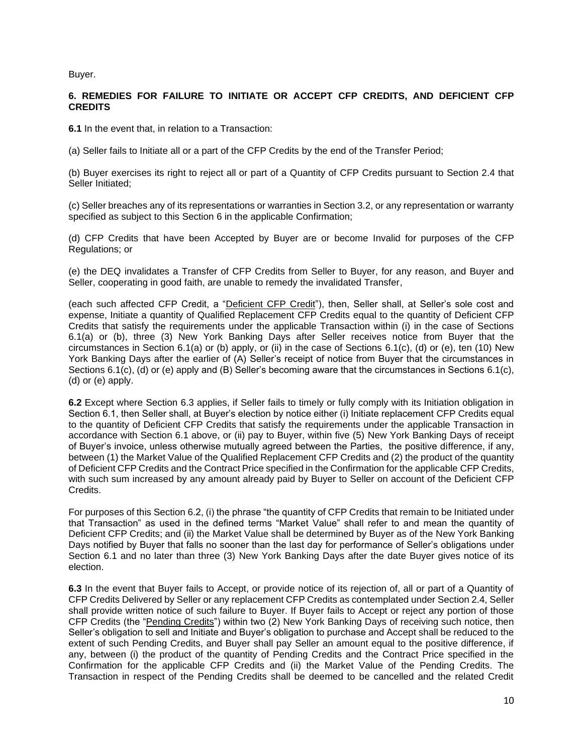Buyer.

#### **6. REMEDIES FOR FAILURE TO INITIATE OR ACCEPT CFP CREDITS, AND DEFICIENT CFP CREDITS**

**6.1** In the event that, in relation to a Transaction:

(a) Seller fails to Initiate all or a part of the CFP Credits by the end of the Transfer Period;

(b) Buyer exercises its right to reject all or part of a Quantity of CFP Credits pursuant to Section 2.4 that Seller Initiated;

(c) Seller breaches any of its representations or warranties in Section 3.2, or any representation or warranty specified as subject to this Section 6 in the applicable Confirmation;

(d) CFP Credits that have been Accepted by Buyer are or become Invalid for purposes of the CFP Regulations; or

(e) the DEQ invalidates a Transfer of CFP Credits from Seller to Buyer, for any reason, and Buyer and Seller, cooperating in good faith, are unable to remedy the invalidated Transfer,

(each such affected CFP Credit, a "Deficient CFP Credit"), then, Seller shall, at Seller's sole cost and expense, Initiate a quantity of Qualified Replacement CFP Credits equal to the quantity of Deficient CFP Credits that satisfy the requirements under the applicable Transaction within (i) in the case of Sections 6.1(a) or (b), three (3) New York Banking Days after Seller receives notice from Buyer that the circumstances in Section 6.1(a) or (b) apply, or (ii) in the case of Sections 6.1(c), (d) or (e), ten (10) New York Banking Days after the earlier of (A) Seller's receipt of notice from Buyer that the circumstances in Sections 6.1(c), (d) or (e) apply and (B) Seller's becoming aware that the circumstances in Sections 6.1(c), (d) or (e) apply.

**6.2** Except where Section 6.3 applies, if Seller fails to timely or fully comply with its Initiation obligation in Section 6.1, then Seller shall, at Buyer's election by notice either (i) Initiate replacement CFP Credits equal to the quantity of Deficient CFP Credits that satisfy the requirements under the applicable Transaction in accordance with Section 6.1 above, or (ii) pay to Buyer, within five (5) New York Banking Days of receipt of Buyer's invoice, unless otherwise mutually agreed between the Parties, the positive difference, if any, between (1) the Market Value of the Qualified Replacement CFP Credits and (2) the product of the quantity of Deficient CFP Credits and the Contract Price specified in the Confirmation for the applicable CFP Credits, with such sum increased by any amount already paid by Buyer to Seller on account of the Deficient CFP Credits.

For purposes of this Section 6.2, (i) the phrase "the quantity of CFP Credits that remain to be Initiated under that Transaction" as used in the defined terms "Market Value" shall refer to and mean the quantity of Deficient CFP Credits; and (ii) the Market Value shall be determined by Buyer as of the New York Banking Days notified by Buyer that falls no sooner than the last day for performance of Seller's obligations under Section 6.1 and no later than three (3) New York Banking Days after the date Buyer gives notice of its election.

**6.3** In the event that Buyer fails to Accept, or provide notice of its rejection of, all or part of a Quantity of CFP Credits Delivered by Seller or any replacement CFP Credits as contemplated under Section 2.4, Seller shall provide written notice of such failure to Buyer. If Buyer fails to Accept or reject any portion of those CFP Credits (the "Pending Credits") within two (2) New York Banking Days of receiving such notice, then Seller's obligation to sell and Initiate and Buyer's obligation to purchase and Accept shall be reduced to the extent of such Pending Credits, and Buyer shall pay Seller an amount equal to the positive difference, if any, between (i) the product of the quantity of Pending Credits and the Contract Price specified in the Confirmation for the applicable CFP Credits and (ii) the Market Value of the Pending Credits. The Transaction in respect of the Pending Credits shall be deemed to be cancelled and the related Credit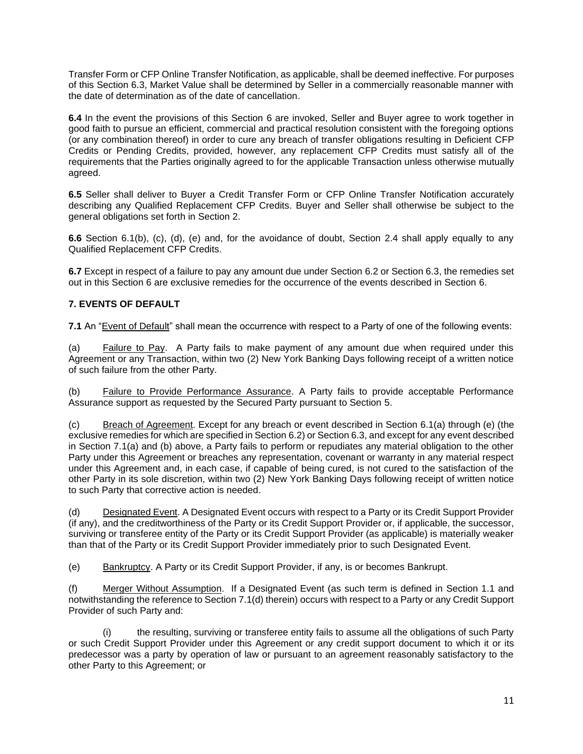Transfer Form or CFP Online Transfer Notification, as applicable, shall be deemed ineffective. For purposes of this Section 6.3, Market Value shall be determined by Seller in a commercially reasonable manner with the date of determination as of the date of cancellation.

**6.4** In the event the provisions of this Section 6 are invoked, Seller and Buyer agree to work together in good faith to pursue an efficient, commercial and practical resolution consistent with the foregoing options (or any combination thereof) in order to cure any breach of transfer obligations resulting in Deficient CFP Credits or Pending Credits, provided, however, any replacement CFP Credits must satisfy all of the requirements that the Parties originally agreed to for the applicable Transaction unless otherwise mutually agreed.

**6.5** Seller shall deliver to Buyer a Credit Transfer Form or CFP Online Transfer Notification accurately describing any Qualified Replacement CFP Credits. Buyer and Seller shall otherwise be subject to the general obligations set forth in Section 2.

**6.6** Section 6.1(b), (c), (d), (e) and, for the avoidance of doubt, Section 2.4 shall apply equally to any Qualified Replacement CFP Credits.

**6.7** Except in respect of a failure to pay any amount due under Section 6.2 or Section 6.3, the remedies set out in this Section 6 are exclusive remedies for the occurrence of the events described in Section 6.

# **7. EVENTS OF DEFAULT**

**7.1** An "Event of Default" shall mean the occurrence with respect to a Party of one of the following events:

(a) Failure to Pay. A Party fails to make payment of any amount due when required under this Agreement or any Transaction, within two (2) New York Banking Days following receipt of a written notice of such failure from the other Party.

(b) Failure to Provide Performance Assurance. A Party fails to provide acceptable Performance Assurance support as requested by the Secured Party pursuant to Section 5.

(c) Breach of Agreement. Except for any breach or event described in Section 6.1(a) through (e) (the exclusive remedies for which are specified in Section 6.2) or Section 6.3, and except for any event described in Section 7.1(a) and (b) above, a Party fails to perform or repudiates any material obligation to the other Party under this Agreement or breaches any representation, covenant or warranty in any material respect under this Agreement and, in each case, if capable of being cured, is not cured to the satisfaction of the other Party in its sole discretion, within two (2) New York Banking Days following receipt of written notice to such Party that corrective action is needed.

(d) Designated Event. A Designated Event occurs with respect to a Party or its Credit Support Provider (if any), and the creditworthiness of the Party or its Credit Support Provider or, if applicable, the successor, surviving or transferee entity of the Party or its Credit Support Provider (as applicable) is materially weaker than that of the Party or its Credit Support Provider immediately prior to such Designated Event.

(e) Bankruptcy. A Party or its Credit Support Provider, if any, is or becomes Bankrupt.

(f) Merger Without Assumption. If a Designated Event (as such term is defined in Section 1.1 and notwithstanding the reference to Section 7.1(d) therein) occurs with respect to a Party or any Credit Support Provider of such Party and:

the resulting, surviving or transferee entity fails to assume all the obligations of such Party or such Credit Support Provider under this Agreement or any credit support document to which it or its predecessor was a party by operation of law or pursuant to an agreement reasonably satisfactory to the other Party to this Agreement; or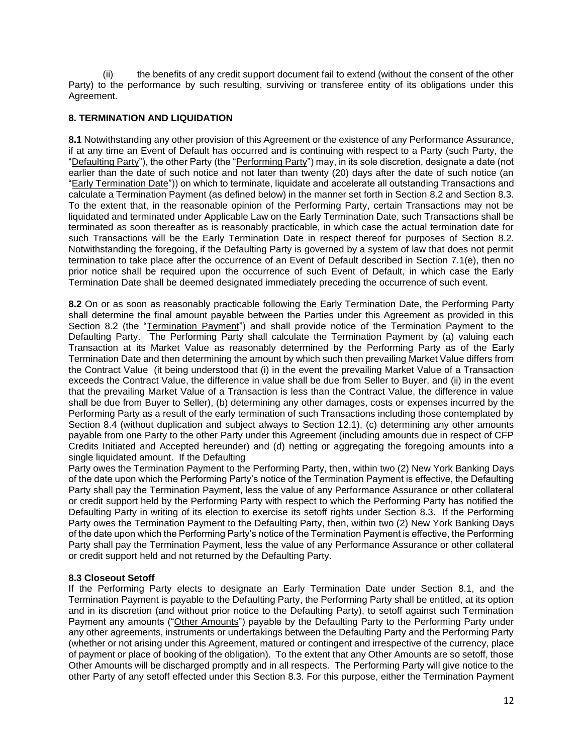(ii) the benefits of any credit support document fail to extend (without the consent of the other Party) to the performance by such resulting, surviving or transferee entity of its obligations under this Agreement.

### **8. TERMINATION AND LIQUIDATION**

8.1 Notwithstanding any other provision of this Agreement or the existence of any Performance Assurance, if at any time an Event of Default has occurred and is continuing with respect to a Party (such Party, the "Defaulting Party"), the other Party (the "Performing Party") may, in its sole discretion, designate a date (not earlier than the date of such notice and not later than twenty (20) days after the date of such notice (an "Early Termination Date")) on which to terminate, liquidate and accelerate all outstanding Transactions and calculate a Termination Payment (as defined below) in the manner set forth in Section 8.2 and Section 8.3. To the extent that, in the reasonable opinion of the Performing Party, certain Transactions may not be liquidated and terminated under Applicable Law on the Early Termination Date, such Transactions shall be terminated as soon thereafter as is reasonably practicable, in which case the actual termination date for such Transactions will be the Early Termination Date in respect thereof for purposes of Section 8.2. Notwithstanding the foregoing, if the Defaulting Party is governed by a system of law that does not permit termination to take place after the occurrence of an Event of Default described in Section 7.1(e), then no prior notice shall be required upon the occurrence of such Event of Default, in which case the Early Termination Date shall be deemed designated immediately preceding the occurrence of such event.

**8.2** On or as soon as reasonably practicable following the Early Termination Date, the Performing Party shall determine the final amount payable between the Parties under this Agreement as provided in this Section 8.2 (the "Termination Payment") and shall provide notice of the Termination Payment to the Defaulting Party. The Performing Party shall calculate the Termination Payment by (a) valuing each Transaction at its Market Value as reasonably determined by the Performing Party as of the Early Termination Date and then determining the amount by which such then prevailing Market Value differs from the Contract Value (it being understood that (i) in the event the prevailing Market Value of a Transaction exceeds the Contract Value, the difference in value shall be due from Seller to Buyer, and (ii) in the event that the prevailing Market Value of a Transaction is less than the Contract Value, the difference in value shall be due from Buyer to Seller), (b) determining any other damages, costs or expenses incurred by the Performing Party as a result of the early termination of such Transactions including those contemplated by Section 8.4 (without duplication and subject always to Section 12.1), (c) determining any other amounts payable from one Party to the other Party under this Agreement (including amounts due in respect of CFP Credits Initiated and Accepted hereunder) and (d) netting or aggregating the foregoing amounts into a single liquidated amount. If the Defaulting

Party owes the Termination Payment to the Performing Party, then, within two (2) New York Banking Days of the date upon which the Performing Party's notice of the Termination Payment is effective, the Defaulting Party shall pay the Termination Payment, less the value of any Performance Assurance or other collateral or credit support held by the Performing Party with respect to which the Performing Party has notified the Defaulting Party in writing of its election to exercise its setoff rights under Section 8.3. If the Performing Party owes the Termination Payment to the Defaulting Party, then, within two (2) New York Banking Days of the date upon which the Performing Party's notice of the Termination Payment is effective, the Performing Party shall pay the Termination Payment, less the value of any Performance Assurance or other collateral or credit support held and not returned by the Defaulting Party.

#### **8.3 Closeout Setoff**

If the Performing Party elects to designate an Early Termination Date under Section 8.1, and the Termination Payment is payable to the Defaulting Party, the Performing Party shall be entitled, at its option and in its discretion (and without prior notice to the Defaulting Party), to setoff against such Termination Payment any amounts ("Other Amounts") payable by the Defaulting Party to the Performing Party under any other agreements, instruments or undertakings between the Defaulting Party and the Performing Party (whether or not arising under this Agreement, matured or contingent and irrespective of the currency, place of payment or place of booking of the obligation). To the extent that any Other Amounts are so setoff, those Other Amounts will be discharged promptly and in all respects. The Performing Party will give notice to the other Party of any setoff effected under this Section 8.3. For this purpose, either the Termination Payment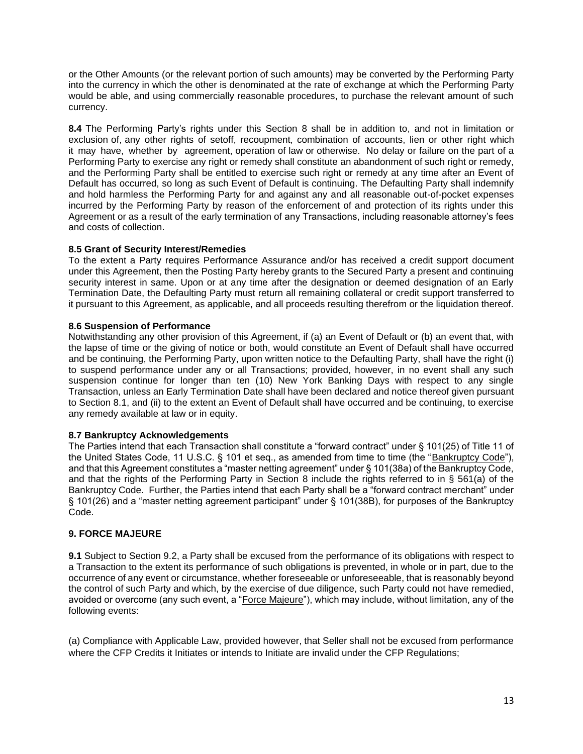or the Other Amounts (or the relevant portion of such amounts) may be converted by the Performing Party into the currency in which the other is denominated at the rate of exchange at which the Performing Party would be able, and using commercially reasonable procedures, to purchase the relevant amount of such currency.

**8.4** The Performing Party's rights under this Section 8 shall be in addition to, and not in limitation or exclusion of, any other rights of setoff, recoupment, combination of accounts, lien or other right which it may have, whether by agreement, operation of law or otherwise. No delay or failure on the part of a Performing Party to exercise any right or remedy shall constitute an abandonment of such right or remedy, and the Performing Party shall be entitled to exercise such right or remedy at any time after an Event of Default has occurred, so long as such Event of Default is continuing. The Defaulting Party shall indemnify and hold harmless the Performing Party for and against any and all reasonable out-of-pocket expenses incurred by the Performing Party by reason of the enforcement of and protection of its rights under this Agreement or as a result of the early termination of any Transactions, including reasonable attorney's fees and costs of collection.

### **8.5 Grant of Security Interest/Remedies**

To the extent a Party requires Performance Assurance and/or has received a credit support document under this Agreement, then the Posting Party hereby grants to the Secured Party a present and continuing security interest in same. Upon or at any time after the designation or deemed designation of an Early Termination Date, the Defaulting Party must return all remaining collateral or credit support transferred to it pursuant to this Agreement, as applicable, and all proceeds resulting therefrom or the liquidation thereof.

#### **8.6 Suspension of Performance**

Notwithstanding any other provision of this Agreement, if (a) an Event of Default or (b) an event that, with the lapse of time or the giving of notice or both, would constitute an Event of Default shall have occurred and be continuing, the Performing Party, upon written notice to the Defaulting Party, shall have the right (i) to suspend performance under any or all Transactions; provided, however, in no event shall any such suspension continue for longer than ten (10) New York Banking Days with respect to any single Transaction, unless an Early Termination Date shall have been declared and notice thereof given pursuant to Section 8.1, and (ii) to the extent an Event of Default shall have occurred and be continuing, to exercise any remedy available at law or in equity.

### **8.7 Bankruptcy Acknowledgements**

The Parties intend that each Transaction shall constitute a "forward contract" under § 101(25) of Title 11 of the United States Code, 11 U.S.C. § 101 et seq., as amended from time to time (the "Bankruptcy Code"), and that this Agreement constitutes a "master netting agreement" under § 101(38a) of the Bankruptcy Code, and that the rights of the Performing Party in Section 8 include the rights referred to in § 561(a) of the Bankruptcy Code. Further, the Parties intend that each Party shall be a "forward contract merchant" under § 101(26) and a "master netting agreement participant" under § 101(38B), for purposes of the Bankruptcy Code.

### **9. FORCE MAJEURE**

**9.1** Subject to Section 9.2, a Party shall be excused from the performance of its obligations with respect to a Transaction to the extent its performance of such obligations is prevented, in whole or in part, due to the occurrence of any event or circumstance, whether foreseeable or unforeseeable, that is reasonably beyond the control of such Party and which, by the exercise of due diligence, such Party could not have remedied, avoided or overcome (any such event, a "Force Majeure"), which may include, without limitation, any of the following events:

(a) Compliance with Applicable Law, provided however, that Seller shall not be excused from performance where the CFP Credits it Initiates or intends to Initiate are invalid under the CFP Regulations;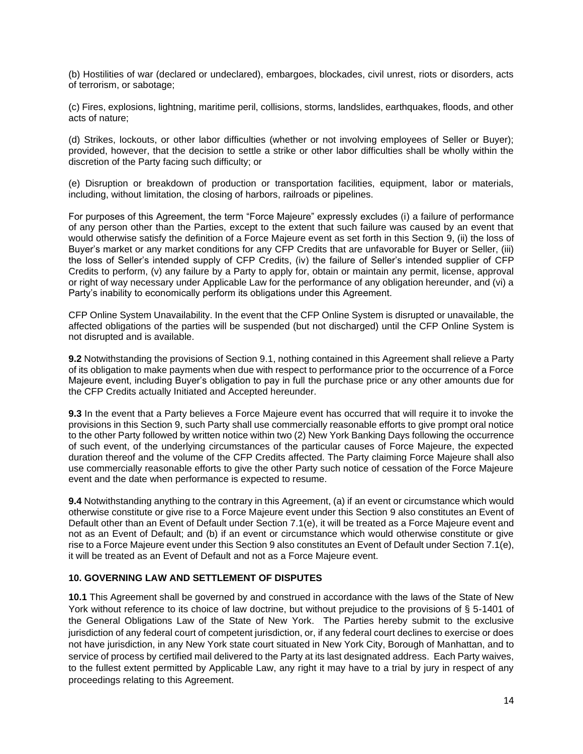(b) Hostilities of war (declared or undeclared), embargoes, blockades, civil unrest, riots or disorders, acts of terrorism, or sabotage;

(c) Fires, explosions, lightning, maritime peril, collisions, storms, landslides, earthquakes, floods, and other acts of nature;

(d) Strikes, lockouts, or other labor difficulties (whether or not involving employees of Seller or Buyer); provided, however, that the decision to settle a strike or other labor difficulties shall be wholly within the discretion of the Party facing such difficulty; or

(e) Disruption or breakdown of production or transportation facilities, equipment, labor or materials, including, without limitation, the closing of harbors, railroads or pipelines.

For purposes of this Agreement, the term "Force Majeure" expressly excludes (i) a failure of performance of any person other than the Parties, except to the extent that such failure was caused by an event that would otherwise satisfy the definition of a Force Majeure event as set forth in this Section 9, (ii) the loss of Buyer's market or any market conditions for any CFP Credits that are unfavorable for Buyer or Seller, (iii) the loss of Seller's intended supply of CFP Credits, (iv) the failure of Seller's intended supplier of CFP Credits to perform, (v) any failure by a Party to apply for, obtain or maintain any permit, license, approval or right of way necessary under Applicable Law for the performance of any obligation hereunder, and (vi) a Party's inability to economically perform its obligations under this Agreement.

CFP Online System Unavailability. In the event that the CFP Online System is disrupted or unavailable, the affected obligations of the parties will be suspended (but not discharged) until the CFP Online System is not disrupted and is available.

**9.2** Notwithstanding the provisions of Section 9.1, nothing contained in this Agreement shall relieve a Party of its obligation to make payments when due with respect to performance prior to the occurrence of a Force Majeure event, including Buyer's obligation to pay in full the purchase price or any other amounts due for the CFP Credits actually Initiated and Accepted hereunder.

**9.3** In the event that a Party believes a Force Majeure event has occurred that will require it to invoke the provisions in this Section 9, such Party shall use commercially reasonable efforts to give prompt oral notice to the other Party followed by written notice within two (2) New York Banking Days following the occurrence of such event, of the underlying circumstances of the particular causes of Force Majeure, the expected duration thereof and the volume of the CFP Credits affected. The Party claiming Force Majeure shall also use commercially reasonable efforts to give the other Party such notice of cessation of the Force Majeure event and the date when performance is expected to resume.

**9.4** Notwithstanding anything to the contrary in this Agreement, (a) if an event or circumstance which would otherwise constitute or give rise to a Force Majeure event under this Section 9 also constitutes an Event of Default other than an Event of Default under Section 7.1(e), it will be treated as a Force Majeure event and not as an Event of Default; and (b) if an event or circumstance which would otherwise constitute or give rise to a Force Majeure event under this Section 9 also constitutes an Event of Default under Section 7.1(e), it will be treated as an Event of Default and not as a Force Majeure event.

### **10. GOVERNING LAW AND SETTLEMENT OF DISPUTES**

**10.1** This Agreement shall be governed by and construed in accordance with the laws of the State of New York without reference to its choice of law doctrine, but without prejudice to the provisions of § 5-1401 of the General Obligations Law of the State of New York. The Parties hereby submit to the exclusive jurisdiction of any federal court of competent jurisdiction, or, if any federal court declines to exercise or does not have jurisdiction, in any New York state court situated in New York City, Borough of Manhattan, and to service of process by certified mail delivered to the Party at its last designated address. Each Party waives, to the fullest extent permitted by Applicable Law, any right it may have to a trial by jury in respect of any proceedings relating to this Agreement.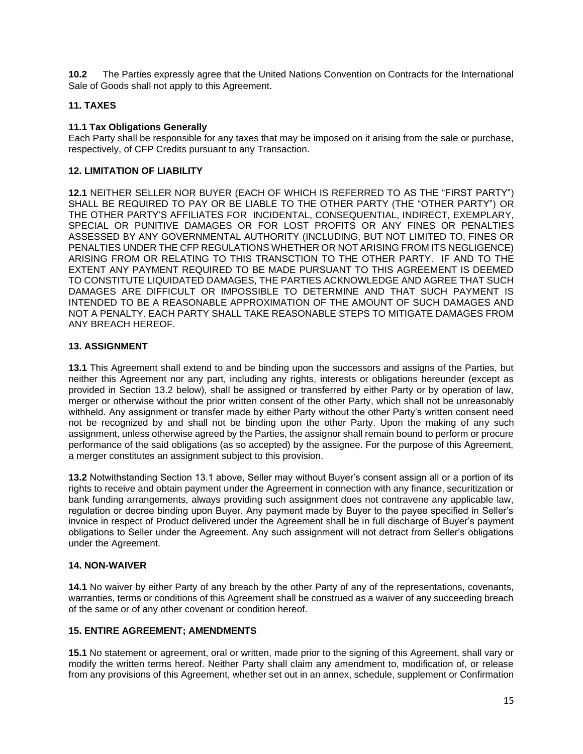**10.2** The Parties expressly agree that the United Nations Convention on Contracts for the International Sale of Goods shall not apply to this Agreement.

## **11. TAXES**

## **11.1 Tax Obligations Generally**

Each Party shall be responsible for any taxes that may be imposed on it arising from the sale or purchase, respectively, of CFP Credits pursuant to any Transaction.

### **12. LIMITATION OF LIABILITY**

**12.1** NEITHER SELLER NOR BUYER (EACH OF WHICH IS REFERRED TO AS THE "FIRST PARTY") SHALL BE REQUIRED TO PAY OR BE LIABLE TO THE OTHER PARTY (THE "OTHER PARTY") OR THE OTHER PARTY'S AFFILIATES FOR INCIDENTAL, CONSEQUENTIAL, INDIRECT, EXEMPLARY, SPECIAL OR PUNITIVE DAMAGES OR FOR LOST PROFITS OR ANY FINES OR PENALTIES ASSESSED BY ANY GOVERNMENTAL AUTHORITY (INCLUDING, BUT NOT LIMITED TO, FINES OR PENALTIES UNDER THE CFP REGULATIONS WHETHER OR NOT ARISING FROM ITS NEGLIGENCE) ARISING FROM OR RELATING TO THIS TRANSCTION TO THE OTHER PARTY. IF AND TO THE EXTENT ANY PAYMENT REQUIRED TO BE MADE PURSUANT TO THIS AGREEMENT IS DEEMED TO CONSTITUTE LIQUIDATED DAMAGES, THE PARTIES ACKNOWLEDGE AND AGREE THAT SUCH DAMAGES ARE DIFFICULT OR IMPOSSIBLE TO DETERMINE AND THAT SUCH PAYMENT IS INTENDED TO BE A REASONABLE APPROXIMATION OF THE AMOUNT OF SUCH DAMAGES AND NOT A PENALTY. EACH PARTY SHALL TAKE REASONABLE STEPS TO MITIGATE DAMAGES FROM ANY BREACH HEREOF.

# **13. ASSIGNMENT**

**13.1** This Agreement shall extend to and be binding upon the successors and assigns of the Parties, but neither this Agreement nor any part, including any rights, interests or obligations hereunder (except as provided in Section 13.2 below), shall be assigned or transferred by either Party or by operation of law, merger or otherwise without the prior written consent of the other Party, which shall not be unreasonably withheld. Any assignment or transfer made by either Party without the other Party's written consent need not be recognized by and shall not be binding upon the other Party. Upon the making of any such assignment, unless otherwise agreed by the Parties, the assignor shall remain bound to perform or procure performance of the said obligations (as so accepted) by the assignee. For the purpose of this Agreement, a merger constitutes an assignment subject to this provision.

**13.2** Notwithstanding Section 13.1 above, Seller may without Buyer's consent assign all or a portion of its rights to receive and obtain payment under the Agreement in connection with any finance, securitization or bank funding arrangements, always providing such assignment does not contravene any applicable law, regulation or decree binding upon Buyer. Any payment made by Buyer to the payee specified in Seller's invoice in respect of Product delivered under the Agreement shall be in full discharge of Buyer's payment obligations to Seller under the Agreement. Any such assignment will not detract from Seller's obligations under the Agreement.

## **14. NON-WAIVER**

**14.1** No waiver by either Party of any breach by the other Party of any of the representations, covenants, warranties, terms or conditions of this Agreement shall be construed as a waiver of any succeeding breach of the same or of any other covenant or condition hereof.

### **15. ENTIRE AGREEMENT; AMENDMENTS**

**15.1** No statement or agreement, oral or written, made prior to the signing of this Agreement, shall vary or modify the written terms hereof. Neither Party shall claim any amendment to, modification of, or release from any provisions of this Agreement, whether set out in an annex, schedule, supplement or Confirmation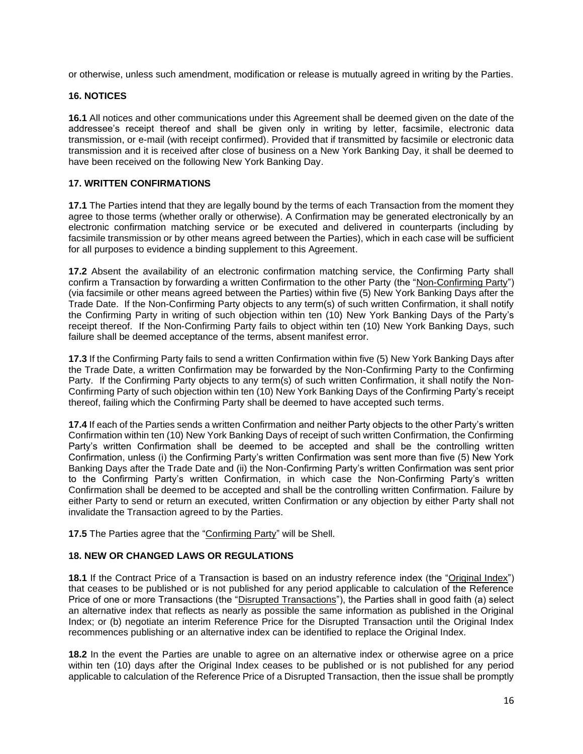or otherwise, unless such amendment, modification or release is mutually agreed in writing by the Parties.

### **16. NOTICES**

**16.1** All notices and other communications under this Agreement shall be deemed given on the date of the addressee's receipt thereof and shall be given only in writing by letter, facsimile, electronic data transmission, or e-mail (with receipt confirmed). Provided that if transmitted by facsimile or electronic data transmission and it is received after close of business on a New York Banking Day, it shall be deemed to have been received on the following New York Banking Day.

## **17. WRITTEN CONFIRMATIONS**

**17.1** The Parties intend that they are legally bound by the terms of each Transaction from the moment they agree to those terms (whether orally or otherwise). A Confirmation may be generated electronically by an electronic confirmation matching service or be executed and delivered in counterparts (including by facsimile transmission or by other means agreed between the Parties), which in each case will be sufficient for all purposes to evidence a binding supplement to this Agreement.

**17.2** Absent the availability of an electronic confirmation matching service, the Confirming Party shall confirm a Transaction by forwarding a written Confirmation to the other Party (the "Non-Confirming Party") (via facsimile or other means agreed between the Parties) within five (5) New York Banking Days after the Trade Date. If the Non-Confirming Party objects to any term(s) of such written Confirmation, it shall notify the Confirming Party in writing of such objection within ten (10) New York Banking Days of the Party's receipt thereof. If the Non-Confirming Party fails to object within ten (10) New York Banking Days, such failure shall be deemed acceptance of the terms, absent manifest error.

**17.3** If the Confirming Party fails to send a written Confirmation within five (5) New York Banking Days after the Trade Date, a written Confirmation may be forwarded by the Non-Confirming Party to the Confirming Party. If the Confirming Party objects to any term(s) of such written Confirmation, it shall notify the Non-Confirming Party of such objection within ten (10) New York Banking Days of the Confirming Party's receipt thereof, failing which the Confirming Party shall be deemed to have accepted such terms.

**17.4** If each of the Parties sends a written Confirmation and neither Party objects to the other Party's written Confirmation within ten (10) New York Banking Days of receipt of such written Confirmation, the Confirming Party's written Confirmation shall be deemed to be accepted and shall be the controlling written Confirmation, unless (i) the Confirming Party's written Confirmation was sent more than five (5) New York Banking Days after the Trade Date and (ii) the Non-Confirming Party's written Confirmation was sent prior to the Confirming Party's written Confirmation, in which case the Non-Confirming Party's written Confirmation shall be deemed to be accepted and shall be the controlling written Confirmation. Failure by either Party to send or return an executed, written Confirmation or any objection by either Party shall not invalidate the Transaction agreed to by the Parties.

**17.5** The Parties agree that the "Confirming Party" will be Shell.

### **18. NEW OR CHANGED LAWS OR REGULATIONS**

**18.1** If the Contract Price of a Transaction is based on an industry reference index (the "Original Index") that ceases to be published or is not published for any period applicable to calculation of the Reference Price of one or more Transactions (the "Disrupted Transactions"), the Parties shall in good faith (a) select an alternative index that reflects as nearly as possible the same information as published in the Original Index; or (b) negotiate an interim Reference Price for the Disrupted Transaction until the Original Index recommences publishing or an alternative index can be identified to replace the Original Index.

**18.2** In the event the Parties are unable to agree on an alternative index or otherwise agree on a price within ten (10) days after the Original Index ceases to be published or is not published for any period applicable to calculation of the Reference Price of a Disrupted Transaction, then the issue shall be promptly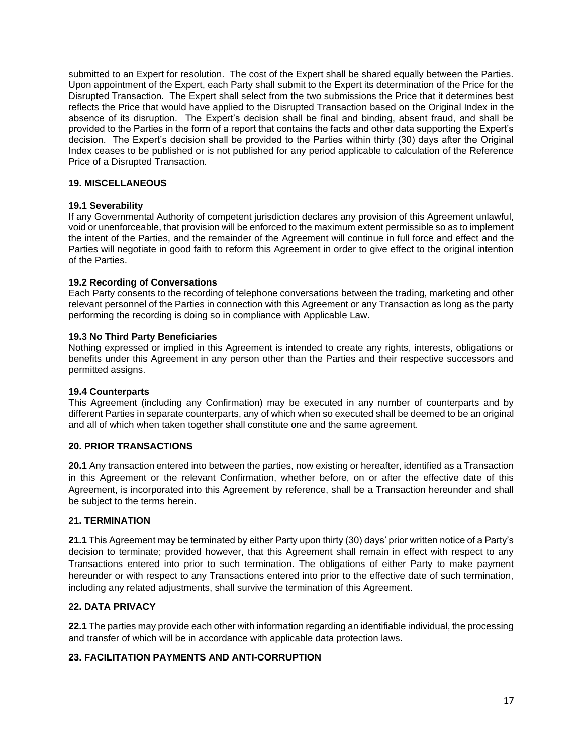submitted to an Expert for resolution. The cost of the Expert shall be shared equally between the Parties. Upon appointment of the Expert, each Party shall submit to the Expert its determination of the Price for the Disrupted Transaction. The Expert shall select from the two submissions the Price that it determines best reflects the Price that would have applied to the Disrupted Transaction based on the Original Index in the absence of its disruption. The Expert's decision shall be final and binding, absent fraud, and shall be provided to the Parties in the form of a report that contains the facts and other data supporting the Expert's decision. The Expert's decision shall be provided to the Parties within thirty (30) days after the Original Index ceases to be published or is not published for any period applicable to calculation of the Reference Price of a Disrupted Transaction.

#### **19. MISCELLANEOUS**

#### **19.1 Severability**

If any Governmental Authority of competent jurisdiction declares any provision of this Agreement unlawful, void or unenforceable, that provision will be enforced to the maximum extent permissible so as to implement the intent of the Parties, and the remainder of the Agreement will continue in full force and effect and the Parties will negotiate in good faith to reform this Agreement in order to give effect to the original intention of the Parties.

#### **19.2 Recording of Conversations**

Each Party consents to the recording of telephone conversations between the trading, marketing and other relevant personnel of the Parties in connection with this Agreement or any Transaction as long as the party performing the recording is doing so in compliance with Applicable Law.

#### **19.3 No Third Party Beneficiaries**

Nothing expressed or implied in this Agreement is intended to create any rights, interests, obligations or benefits under this Agreement in any person other than the Parties and their respective successors and permitted assigns.

#### **19.4 Counterparts**

This Agreement (including any Confirmation) may be executed in any number of counterparts and by different Parties in separate counterparts, any of which when so executed shall be deemed to be an original and all of which when taken together shall constitute one and the same agreement.

#### **20. PRIOR TRANSACTIONS**

**20.1** Any transaction entered into between the parties, now existing or hereafter, identified as a Transaction in this Agreement or the relevant Confirmation, whether before, on or after the effective date of this Agreement, is incorporated into this Agreement by reference, shall be a Transaction hereunder and shall be subject to the terms herein.

### **21. TERMINATION**

**21.1** This Agreement may be terminated by either Party upon thirty (30) days' prior written notice of a Party's decision to terminate; provided however, that this Agreement shall remain in effect with respect to any Transactions entered into prior to such termination. The obligations of either Party to make payment hereunder or with respect to any Transactions entered into prior to the effective date of such termination, including any related adjustments, shall survive the termination of this Agreement.

### **22. DATA PRIVACY**

**22.1** The parties may provide each other with information regarding an identifiable individual, the processing and transfer of which will be in accordance with applicable data protection laws.

### **23. FACILITATION PAYMENTS AND ANTI-CORRUPTION**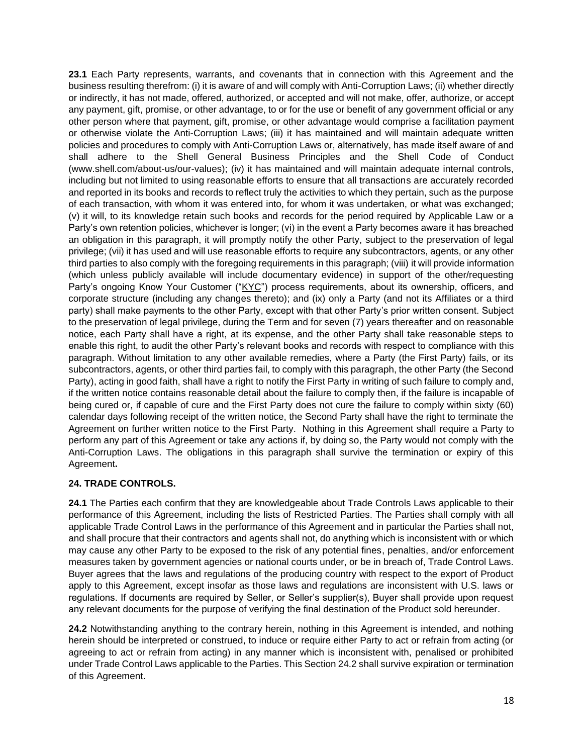**23.1** Each Party represents, warrants, and covenants that in connection with this Agreement and the business resulting therefrom: (i) it is aware of and will comply with Anti-Corruption Laws; (ii) whether directly or indirectly, it has not made, offered, authorized, or accepted and will not make, offer, authorize, or accept any payment, gift, promise, or other advantage, to or for the use or benefit of any government official or any other person where that payment, gift, promise, or other advantage would comprise a facilitation payment or otherwise violate the Anti-Corruption Laws; (iii) it has maintained and will maintain adequate written policies and procedures to comply with Anti-Corruption Laws or, alternatively, has made itself aware of and shall adhere to the Shell General Business Principles and the Shell Code of Conduct (www.shell.com/about-us/our-values); (iv) it has maintained and will maintain adequate internal controls, including but not limited to using reasonable efforts to ensure that all transactions are accurately recorded and reported in its books and records to reflect truly the activities to which they pertain, such as the purpose of each transaction, with whom it was entered into, for whom it was undertaken, or what was exchanged; (v) it will, to its knowledge retain such books and records for the period required by Applicable Law or a Party's own retention policies, whichever is longer; (vi) in the event a Party becomes aware it has breached an obligation in this paragraph, it will promptly notify the other Party, subject to the preservation of legal privilege; (vii) it has used and will use reasonable efforts to require any subcontractors, agents, or any other third parties to also comply with the foregoing requirements in this paragraph; (viii) it will provide information (which unless publicly available will include documentary evidence) in support of the other/requesting Party's ongoing Know Your Customer ("KYC") process requirements, about its ownership, officers, and corporate structure (including any changes thereto); and (ix) only a Party (and not its Affiliates or a third party) shall make payments to the other Party, except with that other Party's prior written consent. Subject to the preservation of legal privilege, during the Term and for seven (7) years thereafter and on reasonable notice, each Party shall have a right, at its expense, and the other Party shall take reasonable steps to enable this right, to audit the other Party's relevant books and records with respect to compliance with this paragraph. Without limitation to any other available remedies, where a Party (the First Party) fails, or its subcontractors, agents, or other third parties fail, to comply with this paragraph, the other Party (the Second Party), acting in good faith, shall have a right to notify the First Party in writing of such failure to comply and, if the written notice contains reasonable detail about the failure to comply then, if the failure is incapable of being cured or, if capable of cure and the First Party does not cure the failure to comply within sixty (60) calendar days following receipt of the written notice, the Second Party shall have the right to terminate the Agreement on further written notice to the First Party. Nothing in this Agreement shall require a Party to perform any part of this Agreement or take any actions if, by doing so, the Party would not comply with the Anti-Corruption Laws. The obligations in this paragraph shall survive the termination or expiry of this Agreement**.**

# **24. TRADE CONTROLS.**

**24.1** The Parties each confirm that they are knowledgeable about Trade Controls Laws applicable to their performance of this Agreement, including the lists of Restricted Parties. The Parties shall comply with all applicable Trade Control Laws in the performance of this Agreement and in particular the Parties shall not, and shall procure that their contractors and agents shall not, do anything which is inconsistent with or which may cause any other Party to be exposed to the risk of any potential fines, penalties, and/or enforcement measures taken by government agencies or national courts under, or be in breach of, Trade Control Laws. Buyer agrees that the laws and regulations of the producing country with respect to the export of Product apply to this Agreement, except insofar as those laws and regulations are inconsistent with U.S. laws or regulations. If documents are required by Seller, or Seller's supplier(s), Buyer shall provide upon request any relevant documents for the purpose of verifying the final destination of the Product sold hereunder.

**24.2** Notwithstanding anything to the contrary herein, nothing in this Agreement is intended, and nothing herein should be interpreted or construed, to induce or require either Party to act or refrain from acting (or agreeing to act or refrain from acting) in any manner which is inconsistent with, penalised or prohibited under Trade Control Laws applicable to the Parties. This Section 24.2 shall survive expiration or termination of this Agreement.